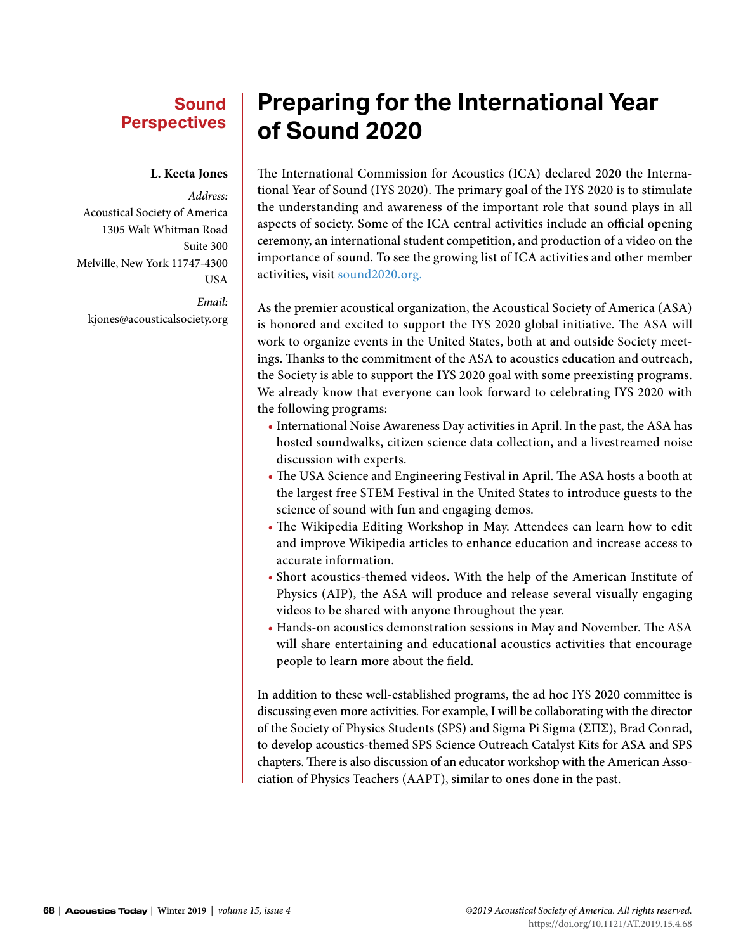### **Sound Perspectives**

### **L. Keeta Jones**

*Address:* Acoustical Society of America 1305 Walt Whitman Road Suite 300 Melville, New York 11747-4300 USA

*Email:* kjones@acousticalsociety.org

# **Preparing for the International Year of Sound 2020**

The International Commission for Acoustics (ICA) declared 2020 the International Year of Sound (IYS 2020). The primary goal of the IYS 2020 is to stimulate the understanding and awareness of the important role that sound plays in all aspects of society. Some of the ICA central activities include an official opening ceremony, an international student competition, and production of a video on the importance of sound. To see the growing list of ICA activities and other member activities, visit [sound2020.org.](http://sound2020.org)

As the premier acoustical organization, the Acoustical Society of America (ASA) is honored and excited to support the IYS 2020 global initiative. The ASA will work to organize events in the United States, both at and outside Society meetings. Thanks to the commitment of the ASA to acoustics education and outreach, the Society is able to support the IYS 2020 goal with some preexisting programs. We already know that everyone can look forward to celebrating IYS 2020 with the following programs:

- International Noise Awareness Day activities in April. In the past, the ASA has hosted soundwalks, citizen science data collection, and a livestreamed noise discussion with experts.
- The USA Science and Engineering Festival in April. The ASA hosts a booth at the largest free STEM Festival in the United States to introduce guests to the science of sound with fun and engaging demos.
- The Wikipedia Editing Workshop in May. Attendees can learn how to edit and improve Wikipedia articles to enhance education and increase access to accurate information.
- Short acoustics-themed videos. With the help of the American Institute of Physics (AIP), the ASA will produce and release several visually engaging videos to be shared with anyone throughout the year.
- Hands-on acoustics demonstration sessions in May and November. The ASA will share entertaining and educational acoustics activities that encourage people to learn more about the field.

In addition to these well-established programs, the ad hoc IYS 2020 committee is discussing even more activities. For example, I will be collaborating with the director of the Society of Physics Students (SPS) and Sigma Pi Sigma (ΣΠΣ), Brad Conrad, to develop acoustics-themed SPS Science Outreach Catalyst Kits for ASA and SPS chapters. There is also discussion of an educator workshop with the American Association of Physics Teachers (AAPT), similar to ones done in the past.